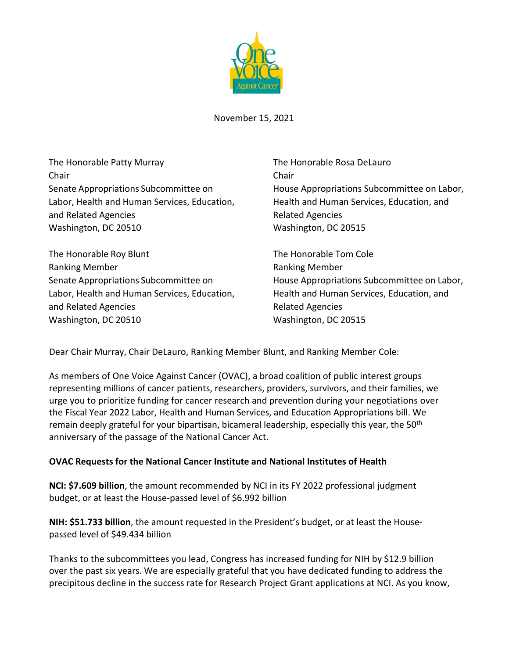

November 15, 2021

The Honorable Patty Murray Chair Senate Appropriations Subcommittee on Labor, Health and Human Services, Education, and Related Agencies Washington, DC 20510

The Honorable Roy Blunt Ranking Member Senate Appropriations Subcommittee on Labor, Health and Human Services, Education, and Related Agencies Washington, DC 20510

The Honorable Rosa DeLauro Chair House Appropriations Subcommittee on Labor, Health and Human Services, Education, and Related Agencies Washington, DC 20515

The Honorable Tom Cole Ranking Member House Appropriations Subcommittee on Labor, Health and Human Services, Education, and Related Agencies Washington, DC 20515

Dear Chair Murray, Chair DeLauro, Ranking Member Blunt, and Ranking Member Cole:

As members of One Voice Against Cancer (OVAC), a broad coalition of public interest groups representing millions of cancer patients, researchers, providers, survivors, and their families, we urge you to prioritize funding for cancer research and prevention during your negotiations over the Fiscal Year 2022 Labor, Health and Human Services, and Education Appropriations bill. We remain deeply grateful for your bipartisan, bicameral leadership, especially this year, the 50<sup>th</sup> anniversary of the passage of the National Cancer Act.

## **OVAC Requests for the National Cancer Institute and National Institutes of Health**

**NCI: \$7.609 billion**, the amount recommended by NCI in its FY 2022 professional judgment budget, or at least the House-passed level of \$6.992 billion

**NIH: \$51.733 billion**, the amount requested in the President's budget, or at least the Housepassed level of \$49.434 billion

Thanks to the subcommittees you lead, Congress has increased funding for NIH by \$12.9 billion over the past six years. We are especially grateful that you have dedicated funding to address the precipitous decline in the success rate for Research Project Grant applications at NCI. As you know,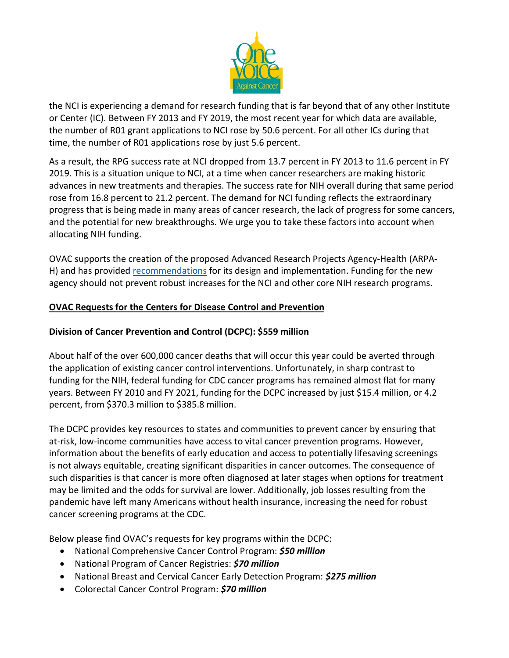

the NCI is experiencing a demand for research funding that is far beyond that of any other Institute or Center (IC). Between FY 2013 and FY 2019, the most recent year for which data are available, the number of R01 grant applications to NCI rose by 50.6 percent. For all other ICs during that time, the number of R01 applications rose by just 5.6 percent.

As a result, the RPG success rate at NCI dropped from 13.7 percent in FY 2013 to 11.6 percent in FY 2019. This is a situation unique to NCI, at a time when cancer researchers are making historic advances in new treatments and therapies. The success rate for NIH overall during that same period rose from 16.8 percent to 21.2 percent. The demand for NCI funding reflects the extraordinary progress that is being made in many areas of cancer research, the lack of progress for some cancers, and the potential for new breakthroughs. We urge you to take these factors into account when allocating NIH funding.

OVAC supports the creation of the proposed Advanced Research Projects Agency-Health (ARPA-H) and has provided [recommendations](http://www.ovaconline.org/wp-content/uploads/2021/09/ARPA-H-OVAC-principles-Lander.pdf) for its design and implementation. Funding for the new agency should not prevent robust increases for the NCI and other core NIH research programs.

## **OVAC Requests for the Centers for Disease Control and Prevention**

## **Division of Cancer Prevention and Control (DCPC): \$559 million**

About half of the over 600,000 cancer deaths that will occur this year could be averted through the application of existing cancer control interventions. Unfortunately, in sharp contrast to funding for the NIH, federal funding for CDC cancer programs has remained almost flat for many years. Between FY 2010 and FY 2021, funding for the DCPC increased by just \$15.4 million, or 4.2 percent, from \$370.3 million to \$385.8 million.

The DCPC provides key resources to states and communities to prevent cancer by ensuring that at-risk, low-income communities have access to vital cancer prevention programs. However, information about the benefits of early education and access to potentially lifesaving screenings is not always equitable, creating significant disparities in cancer outcomes. The consequence of such disparities is that cancer is more often diagnosed at later stages when options for treatment may be limited and the odds for survival are lower. Additionally, job losses resulting from the pandemic have left many Americans without health insurance, increasing the need for robust cancer screening programs at the CDC.

Below please find OVAC's requests for key programs within the DCPC:

- National Comprehensive Cancer Control Program: *\$50 million*
- National Program of Cancer Registries: *\$70 million*
- National Breast and Cervical Cancer Early Detection Program: *\$275 million*
- Colorectal Cancer Control Program: *\$70 million*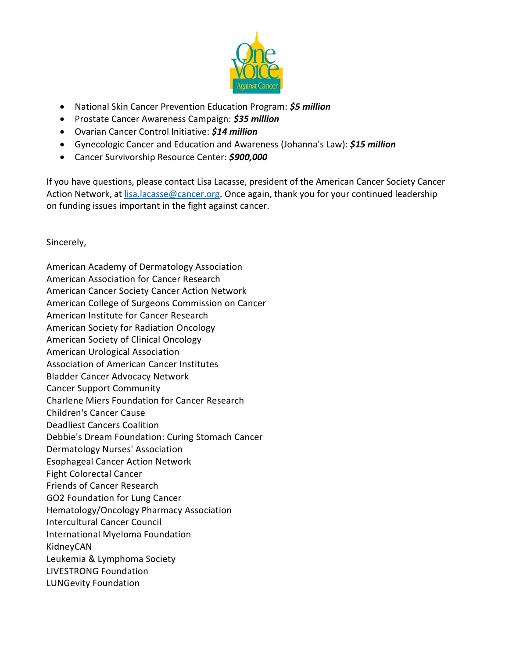

- National Skin Cancer Prevention Education Program: *\$5 million*
- Prostate Cancer Awareness Campaign: *\$35 million*
- Ovarian Cancer Control Initiative: *\$14 million*
- Gynecologic Cancer and Education and Awareness (Johanna's Law): *\$15 million*
- Cancer Survivorship Resource Center: *\$900,000*

If you have questions, please contact Lisa Lacasse, president of the American Cancer Society Cancer Action Network, at [lisa.lacasse@cancer.org.](mailto:lisa.lacasse@cancer.org) Once again, thank you for your continued leadership on funding issues important in the fight against cancer.

## Sincerely,

American Academy of Dermatology Association American Association for Cancer Research American Cancer Society Cancer Action Network American College of Surgeons Commission on Cancer American Institute for Cancer Research American Society for Radiation Oncology American Society of Clinical Oncology American Urological Association Association of American Cancer Institutes Bladder Cancer Advocacy Network Cancer Support Community Charlene Miers Foundation for Cancer Research Children's Cancer Cause Deadliest Cancers Coalition Debbie's Dream Foundation: Curing Stomach Cancer Dermatology Nurses' Association Esophageal Cancer Action Network Fight Colorectal Cancer Friends of Cancer Research GO2 Foundation for Lung Cancer Hematology/Oncology Pharmacy Association Intercultural Cancer Council International Myeloma Foundation KidneyCAN Leukemia & Lymphoma Society LIVESTRONG Foundation LUNGevity Foundation